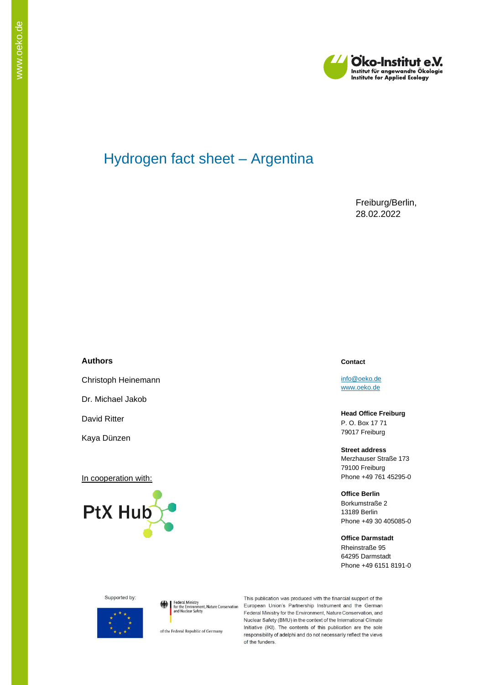

# Hydrogen fact sheet – Argentina

Freiburg/Berlin, 28.02.2022

#### **Authors**

Christoph Heinemann

Dr. Michael Jakob

David Ritter

Kaya Dünzen

In cooperation with:



#### **Contact**

[info@oeko.de](mailto:info@oeko.de) [www.oeko.de](http://www.oeko.de/)

**Head Office Freiburg** P. O. Box 17 71 79017 Freiburg

#### **Street address**

Merzhauser Straße 173 79100 Freiburg Phone +49 761 45295-0

#### **Office Berlin**

Borkumstraße 2 13189 Berlin Phone +49 30 405085-0

#### **Office Darmstadt**

Rheinstraße 95 64295 Darmstadt Phone +49 6151 8191-0



Federal Ministry<br>for the Environment, Nature Conservation<br>and Nuclear Safety

of the Federal Republic of Germany

This publication was produced with the financial support of the European Union's Partnership Instrument and the German Federal Ministry for the Environment, Nature Conservation, and Nuclear Safety (BMU) in the context of the International Climate Initiative (IKI). The contents of this publication are the sole responsibility of adelphi and do not necessarily reflect the views of the funders.

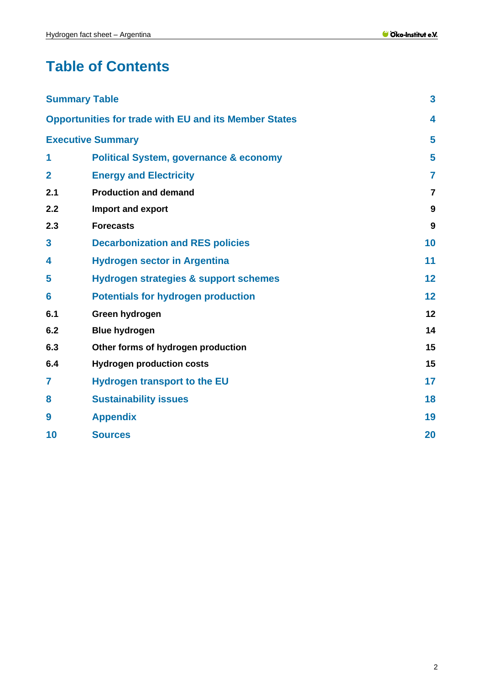# **Table of Contents**

|                | <b>Summary Table</b>                                         | 3              |
|----------------|--------------------------------------------------------------|----------------|
|                | <b>Opportunities for trade with EU and its Member States</b> | 4              |
|                | <b>Executive Summary</b>                                     | 5              |
| 1              | <b>Political System, governance &amp; economy</b>            | 5              |
| $\overline{2}$ | <b>Energy and Electricity</b>                                | $\overline{7}$ |
| 2.1            | <b>Production and demand</b>                                 | $\overline{7}$ |
| 2.2            | Import and export                                            | 9              |
| 2.3            | <b>Forecasts</b>                                             | 9              |
| 3              | <b>Decarbonization and RES policies</b>                      | 10             |
| 4              | <b>Hydrogen sector in Argentina</b>                          | 11             |
| 5              | Hydrogen strategies & support schemes                        | 12             |
| 6              | <b>Potentials for hydrogen production</b>                    | 12             |
| 6.1            | Green hydrogen                                               | 12             |
| 6.2            | <b>Blue hydrogen</b>                                         | 14             |
| 6.3            | Other forms of hydrogen production                           | 15             |
| 6.4            | <b>Hydrogen production costs</b>                             | 15             |
| 7              | <b>Hydrogen transport to the EU</b>                          | 17             |
| 8              | <b>Sustainability issues</b>                                 | 18             |
| 9              | <b>Appendix</b>                                              | 19             |
| 10             | <b>Sources</b>                                               | 20             |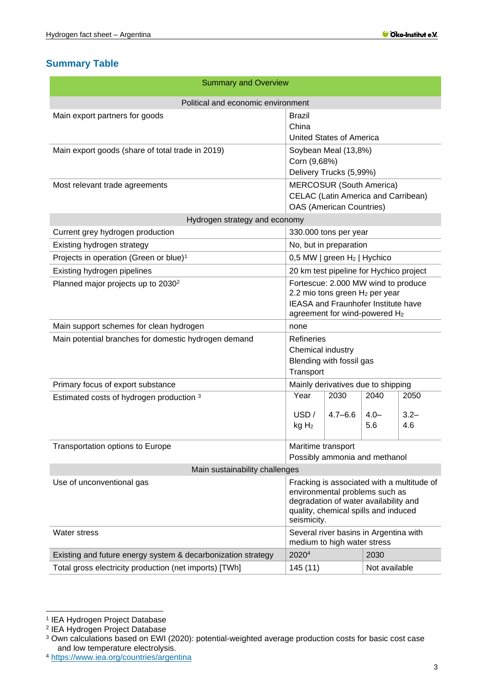# <span id="page-2-0"></span>**Summary Table**

| <b>Summary and Overview</b>                                  |                                                                                                                                                                              |                                                 |                        |                        |
|--------------------------------------------------------------|------------------------------------------------------------------------------------------------------------------------------------------------------------------------------|-------------------------------------------------|------------------------|------------------------|
| Political and economic environment                           |                                                                                                                                                                              |                                                 |                        |                        |
| Main export partners for goods                               | Brazil<br>China<br>United States of America                                                                                                                                  |                                                 |                        |                        |
| Main export goods (share of total trade in 2019)             | Corn (9,68%)                                                                                                                                                                 | Soybean Meal (13,8%)<br>Delivery Trucks (5,99%) |                        |                        |
| Most relevant trade agreements                               | <b>MERCOSUR (South America)</b><br><b>CELAC</b> (Latin America and Carribean)<br><b>OAS</b> (American Countries)                                                             |                                                 |                        |                        |
| Hydrogen strategy and economy                                |                                                                                                                                                                              |                                                 |                        |                        |
| Current grey hydrogen production                             | 330.000 tons per year                                                                                                                                                        |                                                 |                        |                        |
| Existing hydrogen strategy                                   |                                                                                                                                                                              | No, but in preparation                          |                        |                        |
| Projects in operation (Green or blue) <sup>1</sup>           |                                                                                                                                                                              | 0,5 MW   green H <sub>2</sub>   Hychico         |                        |                        |
| Existing hydrogen pipelines                                  |                                                                                                                                                                              | 20 km test pipeline for Hychico project         |                        |                        |
| Planned major projects up to 2030 <sup>2</sup>               | Fortescue: 2.000 MW wind to produce<br>2.2 mio tons green $H_2$ per year<br>IEASA and Fraunhofer Institute have<br>agreement for wind-powered H <sub>2</sub>                 |                                                 |                        |                        |
| Main support schemes for clean hydrogen                      | none                                                                                                                                                                         |                                                 |                        |                        |
| Main potential branches for domestic hydrogen demand         | Refineries<br>Chemical industry<br>Blending with fossil gas<br>Transport                                                                                                     |                                                 |                        |                        |
| Primary focus of export substance                            | Mainly derivatives due to shipping                                                                                                                                           |                                                 |                        |                        |
| Estimated costs of hydrogen production 3                     | Year<br>USD /<br>kgH <sub>2</sub>                                                                                                                                            | 2030<br>$4.7 - 6.6$                             | 2040<br>$4.0 -$<br>5.6 | 2050<br>$3.2 -$<br>4.6 |
| Transportation options to Europe                             | Maritime transport<br>Possibly ammonia and methanol                                                                                                                          |                                                 |                        |                        |
| Main sustainability challenges                               |                                                                                                                                                                              |                                                 |                        |                        |
| Use of unconventional gas                                    | Fracking is associated with a multitude of<br>environmental problems such as<br>degradation of water availability and<br>quality, chemical spills and induced<br>seismicity. |                                                 |                        |                        |
| Water stress                                                 | Several river basins in Argentina with<br>medium to high water stress                                                                                                        |                                                 |                        |                        |
| Existing and future energy system & decarbonization strategy | 2020 <sup>4</sup>                                                                                                                                                            |                                                 | 2030                   |                        |
| Total gross electricity production (net imports) [TWh]       |                                                                                                                                                                              | Not available<br>145(11)                        |                        |                        |

<sup>1</sup> IEA Hydrogen Project Database 2 IEA Hydrogen Project Database

<sup>3</sup> Own calculations based on EWI (2020): potential-weighted average production costs for basic cost case and low temperature electrolysis.

<sup>4</sup> <https://www.iea.org/countries/argentina>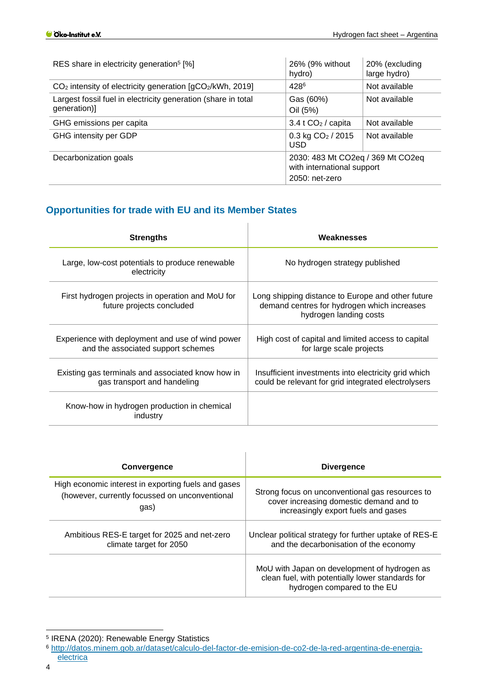| RES share in electricity generation <sup>5</sup> [%]                                                       | 26% (9% without<br>hydro)        | 20% (excluding<br>large hydro) |
|------------------------------------------------------------------------------------------------------------|----------------------------------|--------------------------------|
| $CO2$ intensity of electricity generation $\left[\text{gCO}_{2}/\text{kWh}\right]$ , 2019]                 | 4286                             | Not available                  |
| Largest fossil fuel in electricity generation (share in total<br>generation)]                              | Gas (60%)<br>Oil (5%)            | Not available                  |
| GHG emissions per capita                                                                                   | $3.4$ t CO <sub>2</sub> / capita | Not available                  |
| GHG intensity per GDP                                                                                      | $0.3$ kg $CO2$ / 2015<br>USD.    | Not available                  |
| 2030: 483 Mt CO2eq / 369 Mt CO2eq<br>Decarbonization goals<br>with international support<br>2050: net-zero |                                  |                                |

# <span id="page-3-0"></span>**Opportunities for trade with EU and its Member States**

| <b>Strengths</b>                                                                       | Weaknesses                                                                                                                 |
|----------------------------------------------------------------------------------------|----------------------------------------------------------------------------------------------------------------------------|
| Large, low-cost potentials to produce renewable<br>electricity                         | No hydrogen strategy published                                                                                             |
| First hydrogen projects in operation and MoU for<br>future projects concluded          | Long shipping distance to Europe and other future<br>demand centres for hydrogen which increases<br>hydrogen landing costs |
| Experience with deployment and use of wind power<br>and the associated support schemes | High cost of capital and limited access to capital<br>for large scale projects                                             |
| Existing gas terminals and associated know how in<br>gas transport and handeling       | Insufficient investments into electricity grid which<br>could be relevant for grid integrated electrolysers                |
| Know-how in hydrogen production in chemical<br>industry                                |                                                                                                                            |

| <b>Convergence</b>                                  | <b>Divergence</b>                                                                                                               |
|-----------------------------------------------------|---------------------------------------------------------------------------------------------------------------------------------|
| High economic interest in exporting fuels and gases | Strong focus on unconventional gas resources to                                                                                 |
| (however, currently focussed on unconventional      | cover increasing domestic demand and to                                                                                         |
| gas)                                                | increasingly export fuels and gases                                                                                             |
| Ambitious RES-E target for 2025 and net-zero        | Unclear political strategy for further uptake of RES-E                                                                          |
| climate target for 2050                             | and the decarbonisation of the economy                                                                                          |
|                                                     | MoU with Japan on development of hydrogen as<br>clean fuel, with potentially lower standards for<br>hydrogen compared to the EU |

- <sup>6</sup> [http://datos.minem.gob.ar/dataset/calculo-del-factor-de-emision-de-co2-de-la-red-argentina-de-energia-](http://datos.minem.gob.ar/dataset/calculo-del-factor-de-emision-de-co2-de-la-red-argentina-de-energia-electrica)
- [electrica](http://datos.minem.gob.ar/dataset/calculo-del-factor-de-emision-de-co2-de-la-red-argentina-de-energia-electrica)

<sup>5</sup> IRENA (2020): Renewable Energy Statistics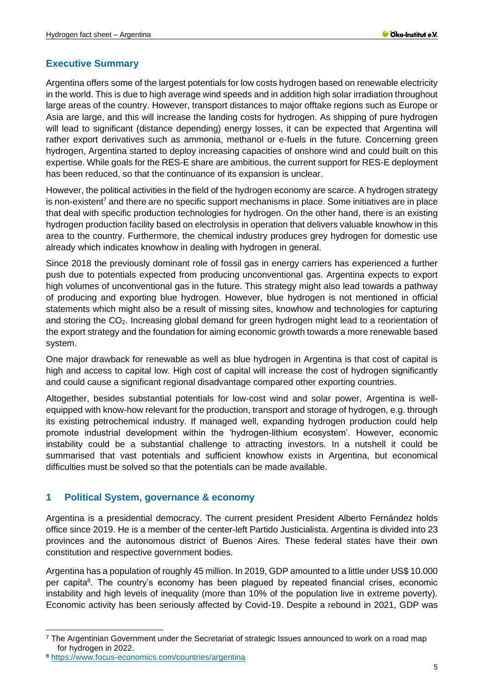## <span id="page-4-0"></span>**Executive Summary**

Argentina offers some of the largest potentials for low costs hydrogen based on renewable electricity in the world. This is due to high average wind speeds and in addition high solar irradiation throughout large areas of the country. However, transport distances to major offtake regions such as Europe or Asia are large, and this will increase the landing costs for hydrogen. As shipping of pure hydrogen will lead to significant (distance depending) energy losses, it can be expected that Argentina will rather export derivatives such as ammonia, methanol or e-fuels in the future. Concerning green hydrogen, Argentina started to deploy increasing capacities of onshore wind and could built on this expertise. While goals for the RES-E share are ambitious, the current support for RES-E deployment has been reduced, so that the continuance of its expansion is unclear.

However, the political activities in the field of the hydrogen economy are scarce. A hydrogen strategy is non-existent<sup>7</sup> and there are no specific support mechanisms in place. Some initiatives are in place that deal with specific production technologies for hydrogen. On the other hand, there is an existing hydrogen production facility based on electrolysis in operation that delivers valuable knowhow in this area to the country. Furthermore, the chemical industry produces grey hydrogen for domestic use already which indicates knowhow in dealing with hydrogen in general.

Since 2018 the previously dominant role of fossil gas in energy carriers has experienced a further push due to potentials expected from producing unconventional gas. Argentina expects to export high volumes of unconventional gas in the future. This strategy might also lead towards a pathway of producing and exporting blue hydrogen. However, blue hydrogen is not mentioned in official statements which might also be a result of missing sites, knowhow and technologies for capturing and storing the CO<sub>2</sub>. Increasing global demand for green hydrogen might lead to a reorientation of the export strategy and the foundation for aiming economic growth towards a more renewable based system.

One major drawback for renewable as well as blue hydrogen in Argentina is that cost of capital is high and access to capital low. High cost of capital will increase the cost of hydrogen significantly and could cause a significant regional disadvantage compared other exporting countries.

Altogether, besides substantial potentials for low-cost wind and solar power, Argentina is wellequipped with know-how relevant for the production, transport and storage of hydrogen, e.g. through its existing petrochemical industry. If managed well, expanding hydrogen production could help promote industrial development within the 'hydrogen-lithium ecosystem'. However, economic instability could be a substantial challenge to attracting investors. In a nutshell it could be summarised that vast potentials and sufficient knowhow exists in Argentina, but economical difficulties must be solved so that the potentials can be made available.

## <span id="page-4-1"></span>**1 Political System, governance & economy**

Argentina is a presidential democracy. The current president President [Alberto Fernández](https://en.wikipedia.org/wiki/Alberto_Fern%C3%A1ndez) holds office since 2019. He is a member of the [center-left](https://en.wikipedia.org/wiki/Center-left) Partido Justicialista. Argentina is divided into 23 provinces and the autonomous district of Buenos Aires. These federal states have their own constitution and respective government bodies.

Argentina has a population of roughly 45 million. In 2019, GDP amounted to a little under US\$ 10.000 per capita<sup>8</sup>. The country's economy has been plagued by repeated financial crises, economic instability and high levels of inequality (more than 10% of the population live in extreme poverty). Economic activity has been seriously affected by Covid-19. Despite a rebound in 2021, GDP was

 $7$  The Argentinian Government under the Secretariat of strategic Issues announced to work on a road map for hydrogen in 2022.

<sup>8</sup> <https://www.focus-economics.com/countries/argentina>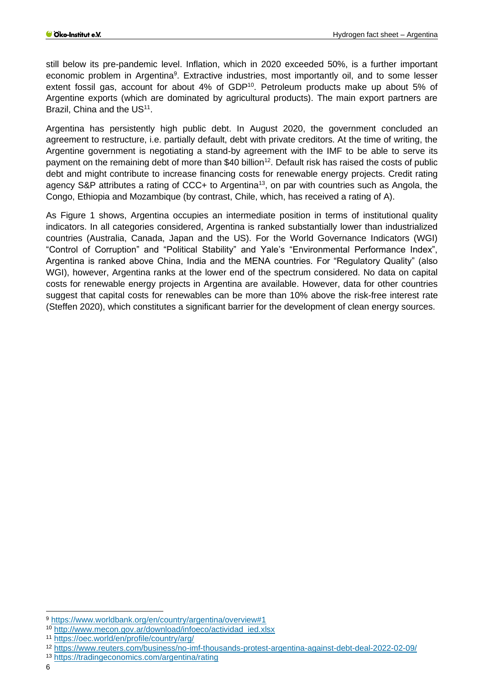still below its pre-pandemic level. Inflation, which in 2020 exceeded 50%, is a further important economic problem in Argentina<sup>9</sup>. Extractive industries, most importantly oil, and to some lesser extent fossil gas, account for about 4% of GDP<sup>10</sup>. Petroleum products make up about 5% of Argentine exports (which are dominated by agricultural products). The main export partners are Brazil, China and the US<sup>11</sup>.

Argentina has persistently high public debt. In August 2020, the government concluded an agreement to restructure, i.e. partially default, debt with private creditors. At the time of writing, the Argentine government is negotiating a stand-by agreement with the IMF to be able to serve its payment on the remaining debt of more than \$40 billion<sup>12</sup>. Default risk has raised the costs of public debt and might contribute to increase financing costs for renewable energy projects. Credit rating agency S&P attributes a rating of CCC+ to Argentina<sup>13</sup>, on par with countries such as Angola, the Congo, Ethiopia and Mozambique (by contrast, Chile, which, has received a rating of A).

As [Figure 1](#page-6-2) shows, Argentina occupies an intermediate position in terms of institutional quality indicators. In all categories considered, Argentina is ranked substantially lower than industrialized countries (Australia, Canada, Japan and the US). For the World Governance Indicators (WGI) "Control of Corruption" and "Political Stability" and Yale's "Environmental Performance Index", Argentina is ranked above China, India and the MENA countries. For "Regulatory Quality" (also WGI), however, Argentina ranks at the lower end of the spectrum considered. No data on capital costs for renewable energy projects in Argentina are available. However, data for other countries suggest that capital costs for renewables can be more than 10% above the risk-free interest rate (Steffen 2020), which constitutes a significant barrier for the development of clean energy sources.

<sup>9</sup> <https://www.worldbank.org/en/country/argentina/overview#1>

<sup>10</sup> [http://www.mecon.gov.ar/download/infoeco/actividad\\_ied.xlsx](http://www.mecon.gov.ar/download/infoeco/actividad_ied.xlsx)

<sup>11</sup> <https://oec.world/en/profile/country/arg/>

<sup>12</sup> <https://www.reuters.com/business/no-imf-thousands-protest-argentina-against-debt-deal-2022-02-09/>

<sup>13</sup> <https://tradingeconomics.com/argentina/rating>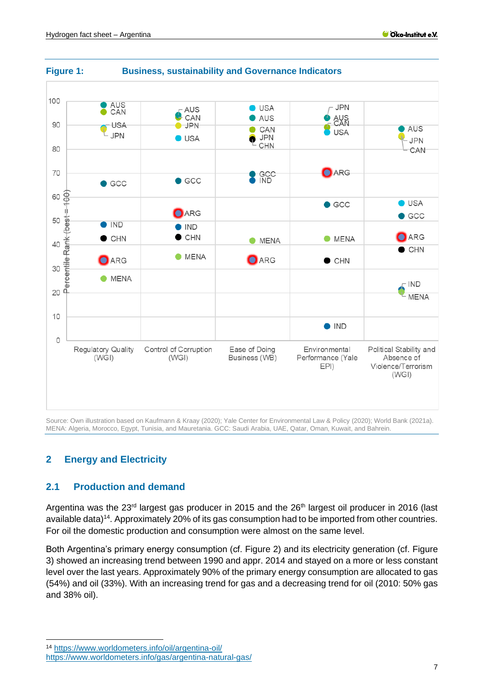

## <span id="page-6-2"></span>**Figure 1: Business, sustainability and Governance Indicators**

Source: Own illustration based on Kaufmann & Kraay (2020); Yale Center for Environmental Law & Policy (2020); World Bank (2021a). MENA: Algeria, Morocco, Egypt, Tunisia, and Mauretania. GCC: Saudi Arabia, UAE, Qatar, Oman, Kuwait, and Bahrein.

# <span id="page-6-0"></span>**2 Energy and Electricity**

## <span id="page-6-1"></span>**2.1 Production and demand**

Argentina was the 23<sup>rd</sup> largest gas producer in 2015 and the 26<sup>th</sup> largest oil producer in 2016 (last available data)<sup>14</sup>. Approximately 20% of its gas consumption had to be imported from other countries. For oil the domestic production and consumption were almost on the same level.

Both Argentina's primary energy consumption (cf. [Figure 2\)](#page-7-0) and its electricity generation (cf. [Figure](#page-8-2)  [3\)](#page-8-2) showed an increasing trend between 1990 and appr. 2014 and stayed on a more or less constant level over the last years. Approximately 90% of the primary energy consumption are allocated to gas (54%) and oil (33%). With an increasing trend for gas and a decreasing trend for oil (2010: 50% gas and 38% oil).

<sup>14</sup> <https://www.worldometers.info/oil/argentina-oil/>

<https://www.worldometers.info/gas/argentina-natural-gas/>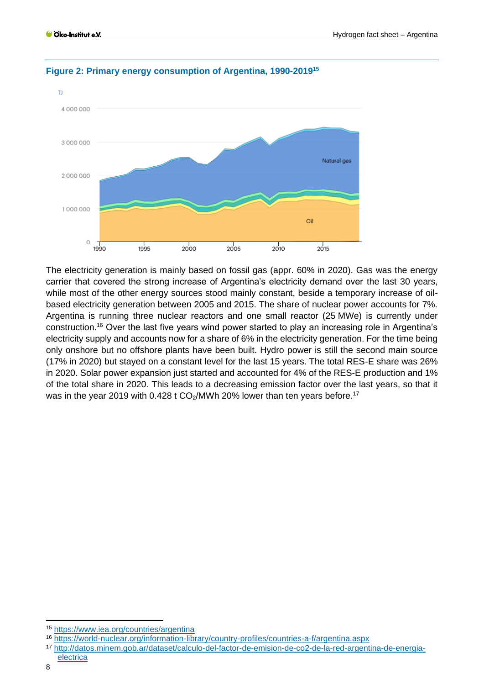

### <span id="page-7-0"></span>**Figure 2: Primary energy consumption of Argentina, 1990-2019<sup>15</sup>**

The electricity generation is mainly based on fossil gas (appr. 60% in 2020). Gas was the energy carrier that covered the strong increase of Argentina's electricity demand over the last 30 years, while most of the other energy sources stood mainly constant, beside a temporary increase of oilbased electricity generation between 2005 and 2015. The share of nuclear power accounts for 7%. Argentina is running three nuclear reactors and one small reactor (25 MWe) is currently under construction.<sup>16</sup> Over the last five years wind power started to play an increasing role in Argentina's electricity supply and accounts now for a share of 6% in the electricity generation. For the time being only onshore but no offshore plants have been built. Hydro power is still the second main source (17% in 2020) but stayed on a constant level for the last 15 years. The total RES-E share was 26% in 2020. Solar power expansion just started and accounted for 4% of the RES-E production and 1% of the total share in 2020. This leads to a decreasing emission factor over the last years, so that it was in the year 2019 with 0.428 t CO<sub>2</sub>/MWh 20% lower than ten years before.<sup>17</sup>

<sup>15</sup> <https://www.iea.org/countries/argentina>

<sup>16</sup> <https://world-nuclear.org/information-library/country-profiles/countries-a-f/argentina.aspx>

<sup>17</sup> [http://datos.minem.gob.ar/dataset/calculo-del-factor-de-emision-de-co2-de-la-red-argentina-de-energia](http://datos.minem.gob.ar/dataset/calculo-del-factor-de-emision-de-co2-de-la-red-argentina-de-energia-electrica)[electrica](http://datos.minem.gob.ar/dataset/calculo-del-factor-de-emision-de-co2-de-la-red-argentina-de-energia-electrica)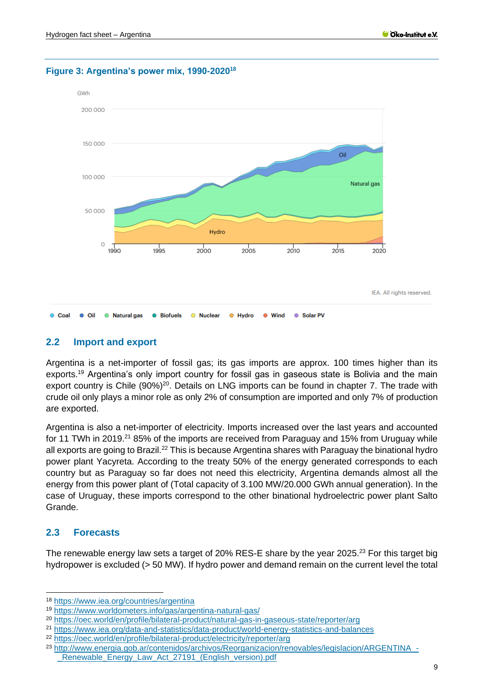

#### <span id="page-8-2"></span>**Figure 3: Argentina's power mix, 1990-2020<sup>18</sup>**

## <span id="page-8-0"></span>**2.2 Import and export**

Argentina is a net-importer of fossil gas; its gas imports are approx. 100 times higher than its exports.<sup>19</sup> Argentina's only import country for fossil gas in gaseous state is Bolivia and the main export country is Chile  $(90\%)^{20}$ . Details on LNG imports can be found in chapter [7.](#page-16-0) The trade with crude oil only plays a minor role as only 2% of consumption are imported and only 7% of production are exported.

Argentina is also a net-importer of electricity. Imports increased over the last years and accounted for 11 TWh in 2019.<sup>21</sup> 85% of the imports are received from Paraguay and 15% from Uruguay while all exports are going to Brazil.<sup>22</sup> This is because Argentina shares with Paraguay the binational hydro power plant Yacyreta. According to the treaty 50% of the energy generated corresponds to each country but as Paraguay so far does not need this electricity, Argentina demands almost all the energy from this power plant of (Total capacity of 3.100 MW/20.000 GWh annual generation). In the case of Uruguay, these imports correspond to the other binational hydroelectric power plant Salto Grande.

### <span id="page-8-1"></span>**2.3 Forecasts**

The renewable energy law sets a target of 20% RES-E share by the year 2025.<sup>23</sup> For this target big hydropower is excluded (> 50 MW). If hydro power and demand remain on the current level the total

<sup>22</sup> <https://oec.world/en/profile/bilateral-product/electricity/reporter/arg>

<sup>18</sup> <https://www.iea.org/countries/argentina>

<sup>19</sup> <https://www.worldometers.info/gas/argentina-natural-gas/>

<sup>20</sup> <https://oec.world/en/profile/bilateral-product/natural-gas-in-gaseous-state/reporter/arg>

<sup>21</sup> <https://www.iea.org/data-and-statistics/data-product/world-energy-statistics-and-balances>

<sup>23</sup> [http://www.energia.gob.ar/contenidos/archivos/Reorganizacion/renovables/legislacion/ARGENTINA\\_-](http://www.energia.gob.ar/contenidos/archivos/Reorganizacion/renovables/legislacion/ARGENTINA_-_Renewable_Energy_Law_Act_27191_(English_version).pdf) Renewable Energy Law Act 27191 (English version).pdf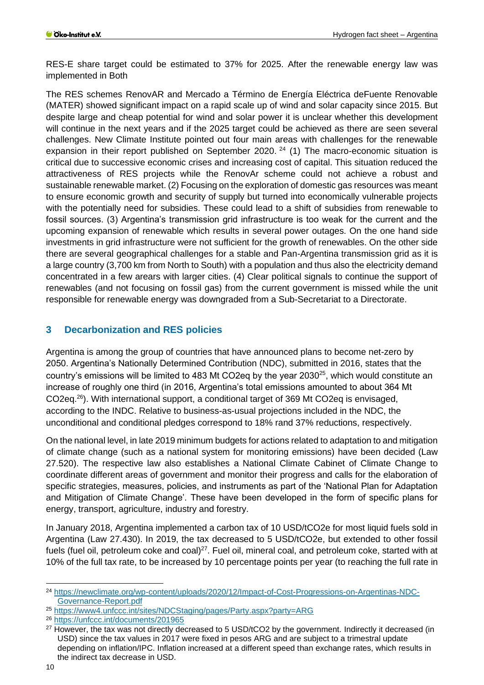RES-E share target could be estimated to 37% for 2025. After the renewable energy law was implemented in Both

The RES schemes RenovAR and Mercado a Término de Energía Eléctrica deFuente Renovable (MATER) showed significant impact on a rapid scale up of wind and solar capacity since 2015. But despite large and cheap potential for wind and solar power it is unclear whether this development will continue in the next years and if the 2025 target could be achieved as there are seen several challenges. New Climate Institute pointed out four main areas with challenges for the renewable expansion in their report published on September 2020.<sup>24</sup> (1) The macro-economic situation is critical due to successive economic crises and increasing cost of capital. This situation reduced the attractiveness of RES projects while the RenovAr scheme could not achieve a robust and sustainable renewable market. (2) Focusing on the exploration of domestic gas resources was meant to ensure economic growth and security of supply but turned into economically vulnerable projects with the potentially need for subsidies. These could lead to a shift of subsidies from renewable to fossil sources. (3) Argentina's transmission grid infrastructure is too weak for the current and the upcoming expansion of renewable which results in several power outages. On the one hand side investments in grid infrastructure were not sufficient for the growth of renewables. On the other side there are several geographical challenges for a stable and Pan-Argentina transmission grid as it is a large country (3,700 km from North to South) with a population and thus also the electricity demand concentrated in a few arears with larger cities. (4) Clear political signals to continue the support of renewables (and not focusing on fossil gas) from the current government is missed while the unit responsible for renewable energy was downgraded from a Sub-Secretariat to a Directorate.

## <span id="page-9-0"></span>**3 Decarbonization and RES policies**

Argentina is among the group of countries that have announced plans to become net-zero by 2050. Argentina's Nationally Determined Contribution (NDC), submitted in 2016, states that the country's emissions will be limited to 483 Mt CO2eq by the year 2030<sup>25</sup>, which would constitute an increase of roughly one third (in 2016, Argentina's total emissions amounted to about 364 Mt CO2eq.<sup>26</sup>). With international support, a conditional target of 369 Mt CO2eq is envisaged, according to the INDC. Relative to business-as-usual projections included in the NDC, the unconditional and conditional pledges correspond to 18% rand 37% reductions, respectively.

On the national level, in late 2019 minimum budgets for actions related to adaptation to and mitigation of climate change (such as a national system for monitoring emissions) have been decided (Law 27.520). The respective law also establishes a National Climate Cabinet of Climate Change to coordinate different areas of government and monitor their progress and calls for the elaboration of specific strategies, measures, policies, and instruments as part of the 'National Plan for Adaptation and Mitigation of Climate Change'. These have been developed in the form of specific plans for energy, transport, agriculture, industry and forestry.

In January 2018, Argentina implemented a carbon tax of 10 USD/tCO2e for most liquid fuels sold in Argentina (Law 27.430). In 2019, the tax decreased to 5 USD/tCO2e, but extended to other fossil fuels (fuel oil, petroleum coke and coal)<sup>27</sup>. Fuel oil, mineral coal, and petroleum coke, started with at 10% of the full tax rate, to be increased by 10 percentage points per year (to reaching the full rate in

<sup>24</sup> [https://newclimate.org/wp-content/uploads/2020/12/Impact-of-Cost-Progressions-on-Argentinas-NDC-](https://newclimate.org/wp-content/uploads/2020/12/Impact-of-Cost-Progressions-on-Argentinas-NDC-Governance-Report.pdf)[Governance-Report.pdf](https://newclimate.org/wp-content/uploads/2020/12/Impact-of-Cost-Progressions-on-Argentinas-NDC-Governance-Report.pdf)

<sup>25</sup> <https://www4.unfccc.int/sites/NDCStaging/pages/Party.aspx?party=ARG>

<sup>26</sup> <https://unfccc.int/documents/201965>

<sup>&</sup>lt;sup>27</sup> However, the tax was not directly decreased to 5 USD/tCO2 by the government. Indirectly it decreased (in USD) since the tax values in 2017 were fixed in pesos ARG and are subject to a trimestral update depending on inflation/IPC. Inflation increased at a different speed than exchange rates, which results in the indirect tax decrease in USD.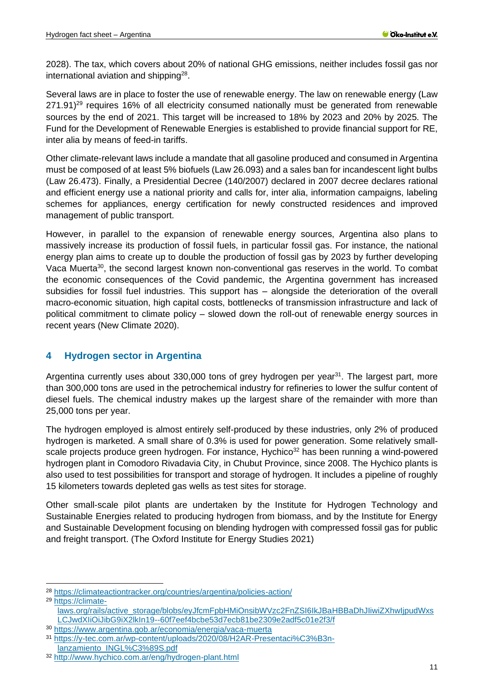2028). The tax, which covers about 20% of national GHG emissions, neither includes fossil gas nor international aviation and shipping $^{28}$ .

Several laws are in place to foster the use of renewable energy. The law on renewable energy (Law 271.91)<sup>29</sup> requires 16% of all electricity consumed nationally must be generated from renewable sources by the end of 2021. This target will be increased to 18% by 2023 and 20% by 2025. The Fund for the Development of Renewable Energies is established to provide financial support for RE, inter alia by means of feed-in tariffs.

Other climate-relevant laws include a mandate that all gasoline produced and consumed in Argentina must be composed of at least 5% biofuels (Law 26.093) and a sales ban for incandescent light bulbs (Law 26.473). Finally, a Presidential Decree (140/2007) declared in 2007 decree declares rational and efficient energy use a national priority and calls for, inter alia, information campaigns, labeling schemes for appliances, energy certification for newly constructed residences and improved management of public transport.

However, in parallel to the expansion of renewable energy sources, Argentina also plans to massively increase its production of fossil fuels, in particular fossil gas. For instance, the national energy plan aims to create up to double the production of fossil gas by 2023 by further developing Vaca Muerta<sup>30</sup>, the second largest known non-conventional gas reserves in the world. To combat the economic consequences of the Covid pandemic, the Argentina government has increased subsidies for fossil fuel industries. This support has – alongside the deterioration of the overall macro-economic situation, high capital costs, bottlenecks of transmission infrastructure and lack of political commitment to climate policy – slowed down the roll-out of renewable energy sources in recent years (New Climate 2020).

## <span id="page-10-0"></span>**4 Hydrogen sector in Argentina**

Argentina currently uses about 330,000 tons of grey hydrogen per year<sup>31</sup>. The largest part, more than 300,000 tons are used in the petrochemical industry for refineries to lower the sulfur content of diesel fuels. The chemical industry makes up the largest share of the remainder with more than 25,000 tons per year.

The hydrogen employed is almost entirely self-produced by these industries, only 2% of produced hydrogen is marketed. A small share of 0.3% is used for power generation. Some relatively smallscale projects produce green hydrogen. For instance, Hychico<sup>32</sup> has been running a wind-powered hydrogen plant in Comodoro Rivadavia City, in Chubut Province, since 2008. The Hychico plants is also used to test possibilities for transport and storage of hydrogen. It includes a pipeline of roughly 15 kilometers towards depleted gas wells as test sites for storage.

Other small-scale pilot plants are undertaken by the Institute for Hydrogen Technology and Sustainable Energies related to producing hydrogen from biomass, and by the Institute for Energy and Sustainable Development focusing on blending hydrogen with compressed fossil gas for public and freight transport. (The Oxford Institute for Energy Studies 2021)

<sup>29</sup> [https://climate-](https://climate-laws.org/rails/active_storage/blobs/eyJfcmFpbHMiOnsibWVzc2FnZSI6IkJBaHBBaDhJIiwiZXhwIjpudWxsLCJwdXIiOiJibG9iX2lkIn19--60f7eef4bcbe53d7ecb81be2309e2adf5c01e2f3/f)

[laws.org/rails/active\\_storage/blobs/eyJfcmFpbHMiOnsibWVzc2FnZSI6IkJBaHBBaDhJIiwiZXhwIjpudWxs](https://climate-laws.org/rails/active_storage/blobs/eyJfcmFpbHMiOnsibWVzc2FnZSI6IkJBaHBBaDhJIiwiZXhwIjpudWxsLCJwdXIiOiJibG9iX2lkIn19--60f7eef4bcbe53d7ecb81be2309e2adf5c01e2f3/f) [LCJwdXIiOiJibG9iX2lkIn19--60f7eef4bcbe53d7ecb81be2309e2adf5c01e2f3/f](https://climate-laws.org/rails/active_storage/blobs/eyJfcmFpbHMiOnsibWVzc2FnZSI6IkJBaHBBaDhJIiwiZXhwIjpudWxsLCJwdXIiOiJibG9iX2lkIn19--60f7eef4bcbe53d7ecb81be2309e2adf5c01e2f3/f)

<sup>28</sup> <https://climateactiontracker.org/countries/argentina/policies-action/>

<sup>30</sup> <https://www.argentina.gob.ar/economia/energia/vaca-muerta>

<sup>31</sup> [https://y-tec.com.ar/wp-content/uploads/2020/08/H2AR-Presentaci%C3%B3n](https://y-tec.com.ar/wp-content/uploads/2020/08/H2AR-Presentaci%C3%B3n-lanzamiento_INGL%C3%89S.pdf)[lanzamiento\\_INGL%C3%89S.pdf](https://y-tec.com.ar/wp-content/uploads/2020/08/H2AR-Presentaci%C3%B3n-lanzamiento_INGL%C3%89S.pdf)

<sup>32</sup> <http://www.hychico.com.ar/eng/hydrogen-plant.html>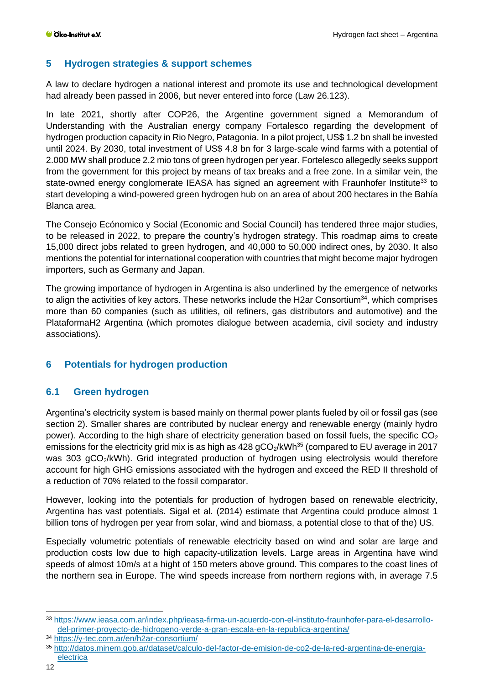## <span id="page-11-0"></span>**5 Hydrogen strategies & support schemes**

A law to declare hydrogen a national interest and promote its use and technological development had already been passed in 2006, but never entered into force (Law 26.123).

In late 2021, shortly after COP26, the Argentine government signed a Memorandum of Understanding with the Australian energy company Fortalesco regarding the development of hydrogen production capacity in Rio Negro, Patagonia. In a pilot project, US\$ 1.2 bn shall be invested until 2024. By 2030, total investment of US\$ 4.8 bn for 3 large-scale wind farms with a potential of 2.000 MW shall produce 2.2 mio tons of green hydrogen per year. Fortelesco allegedly seeks support from the government for this project by means of tax breaks and a free zone. In a similar vein, the state-owned energy conglomerate IEASA has signed an agreement with Fraunhofer Institute<sup>33</sup> to start developing a wind-powered green hydrogen hub on an area of about 200 hectares in the Bahía Blanca area.

The Consejo Ecónomico y Social (Economic and Social Council) has tendered three major studies, to be released in 2022, to prepare the country's hydrogen strategy. This roadmap aims to create 15,000 direct jobs related to green hydrogen, and 40,000 to 50,000 indirect ones, by 2030. It also mentions the potential for international cooperation with countries that might become major hydrogen importers, such as Germany and Japan.

The growing importance of hydrogen in Argentina is also underlined by the emergence of networks to align the activities of key actors. These networks include the H2ar Consortium<sup>34</sup>, which comprises more than 60 companies (such as utilities, oil refiners, gas distributors and automotive) and the PlataformaH2 Argentina (which promotes dialogue between academia, civil society and industry associations).

## <span id="page-11-1"></span>**6 Potentials for hydrogen production**

## <span id="page-11-2"></span>**6.1 Green hydrogen**

Argentina's electricity system is based mainly on thermal power plants fueled by oil or fossil gas (see section [2\)](#page-6-0). Smaller shares are contributed by nuclear energy and renewable energy (mainly hydro power). According to the high share of electricity generation based on fossil fuels, the specific  $CO<sub>2</sub>$ emissions for the electricity grid mix is as high as  $428$  gCO<sub>2</sub>/kWh<sup>35</sup> (compared to EU average in 2017 was 303 gCO<sub>2</sub>/kWh). Grid integrated production of hydrogen using electrolysis would therefore account for high GHG emissions associated with the hydrogen and exceed the RED II threshold of a reduction of 70% related to the fossil comparator.

However, looking into the potentials for production of hydrogen based on renewable electricity, Argentina has vast potentials. Sigal et al. (2014) estimate that Argentina could produce almost 1 billion tons of hydrogen per year from solar, wind and biomass, a potential close to that of the) US.

Especially volumetric potentials of renewable electricity based on wind and solar are large and production costs low due to high capacity-utilization levels. Large areas in Argentina have wind speeds of almost 10m/s at a hight of 150 meters above ground. This compares to the coast lines of the northern sea in Europe. The wind speeds increase from northern regions with, in average 7.5

<sup>34</sup> <https://y-tec.com.ar/en/h2ar-consortium/>

<sup>33</sup> [https://www.ieasa.com.ar/index.php/ieasa-firma-un-acuerdo-con-el-instituto-fraunhofer-para-el-desarrollo](https://www.ieasa.com.ar/index.php/ieasa-firma-un-acuerdo-con-el-instituto-fraunhofer-para-el-desarrollo-del-primer-proyecto-de-hidrogeno-verde-a-gran-escala-en-la-republica-argentina/)[del-primer-proyecto-de-hidrogeno-verde-a-gran-escala-en-la-republica-argentina/](https://www.ieasa.com.ar/index.php/ieasa-firma-un-acuerdo-con-el-instituto-fraunhofer-para-el-desarrollo-del-primer-proyecto-de-hidrogeno-verde-a-gran-escala-en-la-republica-argentina/)

<sup>35</sup> [http://datos.minem.gob.ar/dataset/calculo-del-factor-de-emision-de-co2-de-la-red-argentina-de-energia](http://datos.minem.gob.ar/dataset/calculo-del-factor-de-emision-de-co2-de-la-red-argentina-de-energia-electrica)[electrica](http://datos.minem.gob.ar/dataset/calculo-del-factor-de-emision-de-co2-de-la-red-argentina-de-energia-electrica)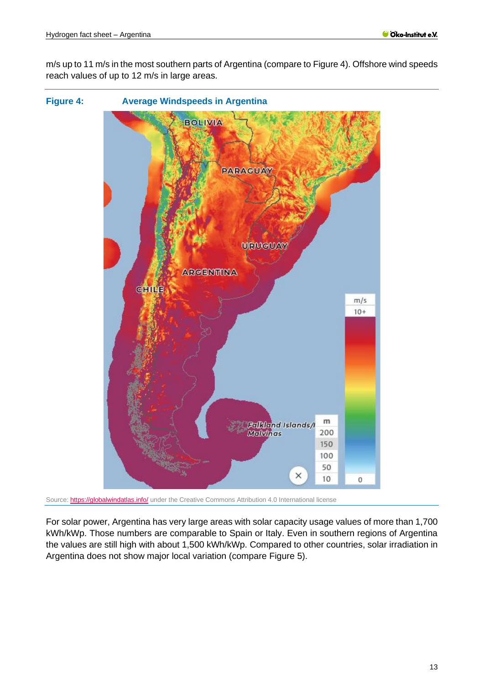m/s up to 11 m/s in the most southern parts of Argentina (compare to [Figure 4\)](#page-12-0). Offshore wind speeds reach values of up to 12 m/s in large areas.

<span id="page-12-0"></span>

Source[: https://globalwindatlas.info/](https://globalwindatlas.info/) under the Creative Commons Attribution 4.0 International license

For solar power, Argentina has very large areas with solar capacity usage values of more than 1,700 kWh/kWp. Those numbers are comparable to Spain or Italy. Even in southern regions of Argentina the values are still high with about 1,500 kWh/kWp. Compared to other countries, solar irradiation in Argentina does not show major local variation (compare [Figure 5\)](#page-13-1).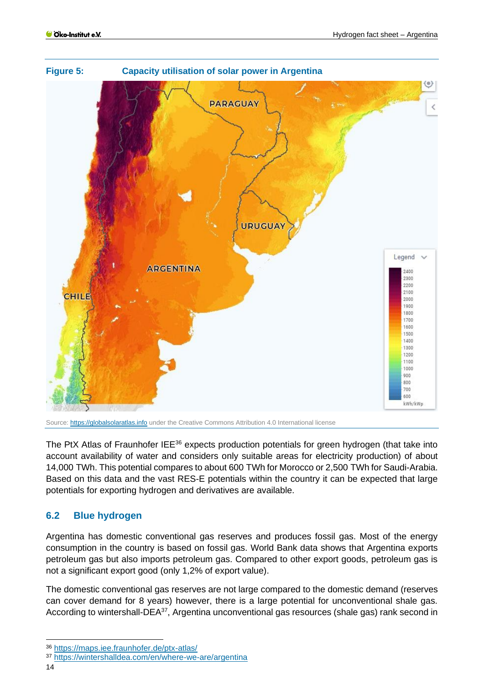<span id="page-13-1"></span>

Source[: https://globalsolaratlas.info](https://globalsolaratlas.info/) under the Creative Commons Attribution 4.0 International license

The PtX Atlas of Fraunhofer IEE<sup>36</sup> expects production potentials for green hydrogen (that take into account availability of water and considers only suitable areas for electricity production) of about 14,000 TWh. This potential compares to about 600 TWh for Morocco or 2,500 TWh for Saudi-Arabia. Based on this data and the vast RES-E potentials within the country it can be expected that large potentials for exporting hydrogen and derivatives are available.

## <span id="page-13-0"></span>**6.2 Blue hydrogen**

Argentina has domestic conventional gas reserves and produces fossil gas. Most of the energy consumption in the country is based on fossil gas. World Bank data shows that Argentina exports petroleum gas but also imports petroleum gas. Compared to other export goods, petroleum gas is not a significant export good (only 1,2% of export value).

The domestic conventional gas reserves are not large compared to the domestic demand (reserves can cover demand for 8 years) however, there is a large potential for unconventional shale gas. According to wintershall-DEA<sup>37</sup>, Argentina unconventional gas resources (shale gas) rank second in

<sup>36</sup> <https://maps.iee.fraunhofer.de/ptx-atlas/>

<sup>37</sup> <https://wintershalldea.com/en/where-we-are/argentina>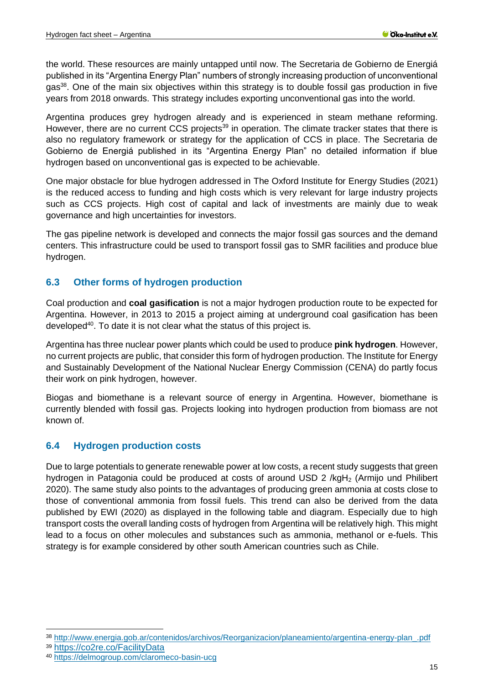the world. These resources are mainly untapped until now. The Secretaria de Gobierno de Energiá published in its "Argentina Energy Plan" numbers of strongly increasing production of unconventional gas<sup>38</sup>. One of the main six objectives within this strategy is to double fossil gas production in five years from 2018 onwards. This strategy includes exporting unconventional gas into the world.

Argentina produces grey hydrogen already and is experienced in steam methane reforming. However, there are no current CCS projects<sup>39</sup> in operation. The climate tracker states that there is also no regulatory framework or strategy for the application of CCS in place. The Secretaria de Gobierno de Energiá published in its "Argentina Energy Plan" no detailed information if blue hydrogen based on unconventional gas is expected to be achievable.

One major obstacle for blue hydrogen addressed in The Oxford Institute for Energy Studies (2021) is the reduced access to funding and high costs which is very relevant for large industry projects such as CCS projects. High cost of capital and lack of investments are mainly due to weak governance and high uncertainties for investors.

The gas pipeline network is developed and connects the major fossil gas sources and the demand centers. This infrastructure could be used to transport fossil gas to SMR facilities and produce blue hydrogen.

## <span id="page-14-0"></span>**6.3 Other forms of hydrogen production**

Coal production and **coal gasification** is not a major hydrogen production route to be expected for Argentina. However, in 2013 to 2015 a project aiming at underground coal gasification has been developed<sup>40</sup>. To date it is not clear what the status of this project is.

Argentina has three nuclear power plants which could be used to produce **pink hydrogen**. However, no current projects are public, that consider this form of hydrogen production. The Institute for Energy and Sustainably Development of the National Nuclear Energy Commission (CENA) do partly focus their work on pink hydrogen, however.

Biogas and biomethane is a relevant source of energy in Argentina. However, biomethane is currently blended with fossil gas. Projects looking into hydrogen production from biomass are not known of.

## <span id="page-14-1"></span>**6.4 Hydrogen production costs**

Due to large potentials to generate renewable power at low costs, a recent study suggests that green hydrogen in Patagonia could be produced at costs of around USD 2 /kgH<sub>2</sub> (Armijo und Philibert 2020). The same study also points to the advantages of producing green ammonia at costs close to those of conventional ammonia from fossil fuels. This trend can also be derived from the data published by EWI (2020) as displayed in the following table and diagram. Especially due to high transport costs the overall landing costs of hydrogen from Argentina will be relatively high. This might lead to a focus on other molecules and substances such as ammonia, methanol or e-fuels. This strategy is for example considered by other south American countries such as Chile.

<sup>38</sup> [http://www.energia.gob.ar/contenidos/archivos/Reorganizacion/planeamiento/argentina-energy-plan\\_.pdf](http://www.energia.gob.ar/contenidos/archivos/Reorganizacion/planeamiento/argentina-energy-plan_.pdf) <sup>39</sup> <https://co2re.co/FacilityData>

<sup>40</sup> <https://delmogroup.com/claromeco-basin-ucg>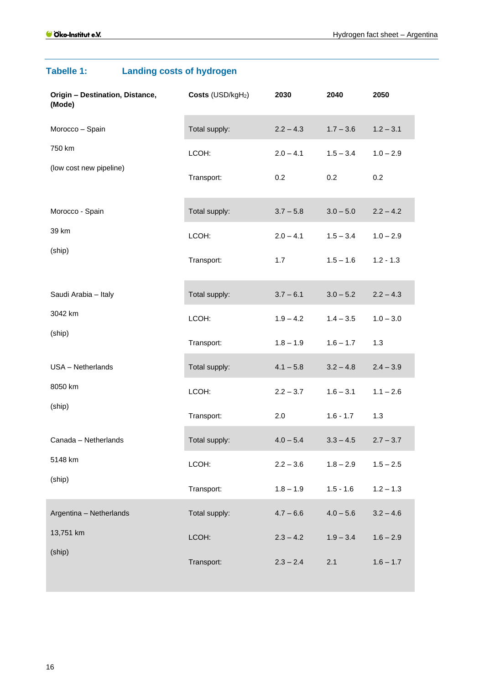| Origin - Destination, Distance,<br>(Mode) | Costs (USD/kgH <sub>2</sub> ) | 2030        | 2040        | 2050        |
|-------------------------------------------|-------------------------------|-------------|-------------|-------------|
| Morocco - Spain                           | Total supply:                 | $2.2 - 4.3$ | $1.7 - 3.6$ | $1.2 - 3.1$ |
| 750 km                                    | LCOH:                         | $2.0 - 4.1$ | $1.5 - 3.4$ | $1.0 - 2.9$ |
| (low cost new pipeline)                   | Transport:                    | 0.2         | 0.2         | 0.2         |
| Morocco - Spain                           | Total supply:                 | $3.7 - 5.8$ | $3.0 - 5.0$ | $2.2 - 4.2$ |
| 39 km                                     | LCOH:                         | $2.0 - 4.1$ | $1.5 - 3.4$ | $1.0 - 2.9$ |
| (ship)                                    | Transport:                    | 1.7         | $1.5 - 1.6$ | $1.2 - 1.3$ |
| Saudi Arabia - Italy                      | Total supply:                 | $3.7 - 6.1$ | $3.0 - 5.2$ | $2.2 - 4.3$ |
| 3042 km                                   | LCOH:                         | $1.9 - 4.2$ | $1.4 - 3.5$ | $1.0 - 3.0$ |
| (ship)                                    | Transport:                    | $1.8 - 1.9$ | $1.6 - 1.7$ | 1.3         |
| USA - Netherlands                         | Total supply:                 | $4.1 - 5.8$ | $3.2 - 4.8$ | $2.4 - 3.9$ |
| 8050 km                                   | LCOH:                         | $2.2 - 3.7$ | $1.6 - 3.1$ | $1.1 - 2.6$ |
| (ship)                                    | Transport:                    | 2.0         | $1.6 - 1.7$ | 1.3         |
| Canada - Netherlands                      | Total supply:                 | $4.0 - 5.4$ | $3.3 - 4.5$ | $2.7 - 3.7$ |
| 5148 km                                   | LCOH:                         | $2.2 - 3.6$ | $1.8 - 2.9$ | $1.5 - 2.5$ |
| (ship)                                    | Transport:                    | $1.8 - 1.9$ | $1.5 - 1.6$ | $1.2 - 1.3$ |
| Argentina - Netherlands                   | Total supply:                 | $4.7 - 6.6$ | $4.0 - 5.6$ | $3.2 - 4.6$ |
| 13,751 km                                 | LCOH:                         | $2.3 - 4.2$ | $1.9 - 3.4$ | $1.6 - 2.9$ |
| (ship)                                    | Transport:                    | $2.3 - 2.4$ | 2.1         | $1.6 - 1.7$ |

# **Tabelle 1: Landing costs of hydrogen**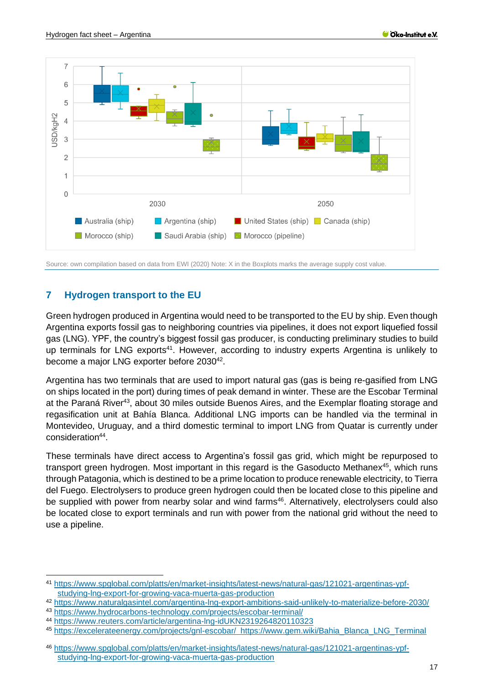

Source: own compilation based on data from EWI (2020) Note: X in the Boxplots marks the average supply cost value.

## <span id="page-16-0"></span>**7 Hydrogen transport to the EU**

Green hydrogen produced in Argentina would need to be transported to the EU by ship. Even though Argentina exports fossil gas to neighboring countries via pipelines, it does not export liquefied fossil gas (LNG). YPF, the country's biggest fossil gas producer, is conducting preliminary studies to build up terminals for LNG exports<sup>41</sup>. However, according to industry experts Argentina is unlikely to become a major LNG exporter before 2030<sup>42</sup>.

Argentina has two terminals that are used to import natural gas (gas is being re-gasified from LNG on ships located in the port) during times of peak demand in winter. These are the Escobar Terminal at the Paraná River<sup>43</sup>, about 30 miles outside Buenos Aires, and the Exemplar floating storage and regasification unit at Bahía Blanca. Additional LNG imports can be handled via the terminal in Montevideo, Uruguay, and a third domestic terminal to import LNG from Quatar is currently under consideration<sup>44</sup>.

These terminals have direct access to Argentina's fossil gas grid, which might be repurposed to transport green hydrogen. Most important in this regard is the Gasoducto Methanex<sup>45</sup>, which runs through Patagonia, which is destined to be a prime location to produce renewable electricity, to Tierra del Fuego. Electrolysers to produce green hydrogen could then be located close to this pipeline and be supplied with power from nearby solar and wind farms<sup>46</sup>. Alternatively, electrolysers could also be located close to export terminals and run with power from the national grid without the need to use a pipeline.

<sup>41</sup> [https://www.spglobal.com/platts/en/market-insights/latest-news/natural-gas/121021-argentinas-ypf](https://www.spglobal.com/platts/en/market-insights/latest-news/natural-gas/121021-argentinas-ypf-studying-lng-export-for-growing-vaca-muerta-gas-production)[studying-lng-export-for-growing-vaca-muerta-gas-production](https://www.spglobal.com/platts/en/market-insights/latest-news/natural-gas/121021-argentinas-ypf-studying-lng-export-for-growing-vaca-muerta-gas-production)

<sup>42</sup> <https://www.naturalgasintel.com/argentina-lng-export-ambitions-said-unlikely-to-materialize-before-2030/>

<sup>43</sup> <https://www.hydrocarbons-technology.com/projects/escobar-terminal/>

<sup>44</sup> <https://www.reuters.com/article/argentina-lng-idUKN2319264820110323>

<sup>45</sup> [https://excelerateenergy.com/projects/gnl-escobar/ https:/](https://excelerateenergy.com/projects/gnl-escobar/%20%20https:)[/www.gem.wiki/Bahia\\_Blanca\\_LNG\\_Terminal](http://www.gem.wiki/Bahia_Blanca_LNG_Terminal)

<sup>46</sup> [https://www.spglobal.com/platts/en/market-insights/latest-news/natural-gas/121021-argentinas-ypf](https://www.spglobal.com/platts/en/market-insights/latest-news/natural-gas/121021-argentinas-ypf-studying-lng-export-for-growing-vaca-muerta-gas-production)[studying-lng-export-for-growing-vaca-muerta-gas-production](https://www.spglobal.com/platts/en/market-insights/latest-news/natural-gas/121021-argentinas-ypf-studying-lng-export-for-growing-vaca-muerta-gas-production)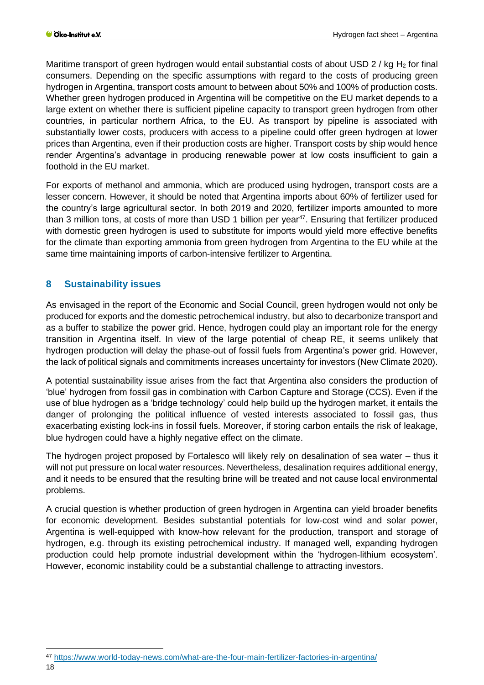Maritime transport of green hydrogen would entail substantial costs of about USD 2 / kg H<sub>2</sub> for final consumers. Depending on the specific assumptions with regard to the costs of producing green hydrogen in Argentina, transport costs amount to between about 50% and 100% of production costs. Whether green hydrogen produced in Argentina will be competitive on the EU market depends to a large extent on whether there is sufficient pipeline capacity to transport green hydrogen from other countries, in particular northern Africa, to the EU. As transport by pipeline is associated with substantially lower costs, producers with access to a pipeline could offer green hydrogen at lower prices than Argentina, even if their production costs are higher. Transport costs by ship would hence render Argentina's advantage in producing renewable power at low costs insufficient to gain a foothold in the EU market.

For exports of methanol and ammonia, which are produced using hydrogen, transport costs are a lesser concern. However, it should be noted that Argentina imports about 60% of fertilizer used for the country's large agricultural sector. In both 2019 and 2020, fertilizer imports amounted to more than 3 million tons, at costs of more than USD 1 billion per year<sup>47</sup>. Ensuring that fertilizer produced with domestic green hydrogen is used to substitute for imports would yield more effective benefits for the climate than exporting ammonia from green hydrogen from Argentina to the EU while at the same time maintaining imports of carbon-intensive fertilizer to Argentina.

## <span id="page-17-0"></span>**8 Sustainability issues**

As envisaged in the report of the Economic and Social Council, green hydrogen would not only be produced for exports and the domestic petrochemical industry, but also to decarbonize transport and as a buffer to stabilize the power grid. Hence, hydrogen could play an important role for the energy transition in Argentina itself. In view of the large potential of cheap RE, it seems unlikely that hydrogen production will delay the phase-out of fossil fuels from Argentina's power grid. However, the lack of political signals and commitments increases uncertainty for investors (New Climate 2020).

A potential sustainability issue arises from the fact that Argentina also considers the production of 'blue' hydrogen from fossil gas in combination with Carbon Capture and Storage (CCS). Even if the use of blue hydrogen as a 'bridge technology' could help build up the hydrogen market, it entails the danger of prolonging the political influence of vested interests associated to fossil gas, thus exacerbating existing lock-ins in fossil fuels. Moreover, if storing carbon entails the risk of leakage, blue hydrogen could have a highly negative effect on the climate.

The hydrogen project proposed by Fortalesco will likely rely on desalination of sea water – thus it will not put pressure on local water resources. Nevertheless, desalination requires additional energy, and it needs to be ensured that the resulting brine will be treated and not cause local environmental problems.

A crucial question is whether production of green hydrogen in Argentina can yield broader benefits for economic development. Besides substantial potentials for low-cost wind and solar power, Argentina is well-equipped with know-how relevant for the production, transport and storage of hydrogen, e.g. through its existing petrochemical industry. If managed well, expanding hydrogen production could help promote industrial development within the 'hydrogen-lithium ecosystem'. However, economic instability could be a substantial challenge to attracting investors.

<sup>47</sup> <https://www.world-today-news.com/what-are-the-four-main-fertilizer-factories-in-argentina/>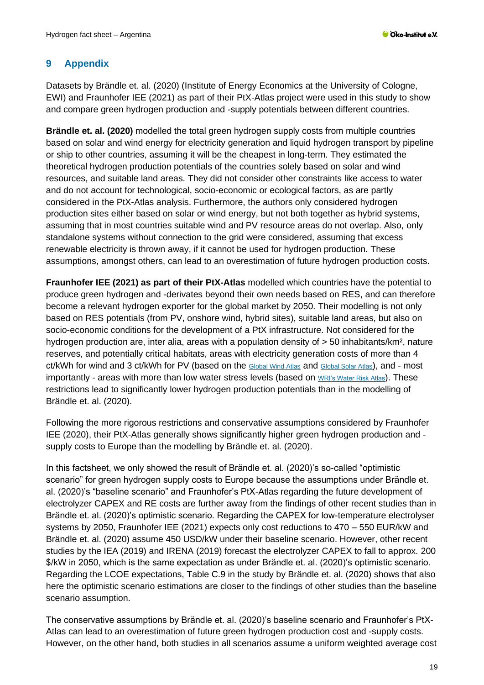## <span id="page-18-0"></span>**9 Appendix**

Datasets by Brändle et. al. (2020) (Institute of Energy Economics at the University of Cologne, EWI) and Fraunhofer IEE (2021) as part of their PtX-Atlas project were used in this study to show and compare green hydrogen production and -supply potentials between different countries.

**Brändle et. al. (2020)** modelled the total green hydrogen supply costs from multiple countries based on solar and wind energy for electricity generation and liquid hydrogen transport by pipeline or ship to other countries, assuming it will be the cheapest in long-term. They estimated the theoretical hydrogen production potentials of the countries solely based on solar and wind resources, and suitable land areas. They did not consider other constraints like access to water and do not account for technological, socio-economic or ecological factors, as are partly considered in the PtX-Atlas analysis. Furthermore, the authors only considered hydrogen production sites either based on solar or wind energy, but not both together as hybrid systems, assuming that in most countries suitable wind and PV resource areas do not overlap. Also, only standalone systems without connection to the grid were considered, assuming that excess renewable electricity is thrown away, if it cannot be used for hydrogen production. These assumptions, amongst others, can lead to an overestimation of future hydrogen production costs.

**Fraunhofer IEE (2021) as part of their PtX-Atlas** modelled which countries have the potential to produce green hydrogen and -derivates beyond their own needs based on RES, and can therefore become a relevant hydrogen exporter for the global market by 2050. Their modelling is not only based on RES potentials (from PV, onshore wind, hybrid sites), suitable land areas, but also on socio-economic conditions for the development of a PtX infrastructure. Not considered for the hydrogen production are, inter alia, areas with a population density of > 50 inhabitants/km², nature reserves, and potentially critical habitats, areas with electricity generation costs of more than 4 ct/kWh for wind and 3 ct/kWh for PV (based on the [Global Wind Atlas](https://globalwindatlas.info/) and [Global Solar Atlas](https://globalsolaratlas.info/map?c=45.336702,-111.181641,4)), and - most importantly - areas with more than low water stress levels (based on [WRI's Water Risk Atlas](https://www.wri.org/applications/aqueduct/water-risk-atlas/#/?advanced=false&basemap=hydro&indicator=w_awr_def_tot_cat&lat=8.928487062665504&lng=-79.45312500000001&mapMode=view&month=1&opacity=0.5&ponderation=DEF&predefined=false&projection=absolute&scenario=optimistic&scope=baseline&timeScale=annual&year=baseline&zoom=3)). These restrictions lead to significantly lower hydrogen production potentials than in the modelling of Brändle et. al. (2020).

Following the more rigorous restrictions and conservative assumptions considered by Fraunhofer IEE (2020), their PtX-Atlas generally shows significantly higher green hydrogen production and supply costs to Europe than the modelling by Brändle et. al. (2020).

In this factsheet, we only showed the result of Brändle et. al. (2020)'s so-called "optimistic scenario" for green hydrogen supply costs to Europe because the assumptions under Brändle et. al. (2020)'s "baseline scenario" and Fraunhofer's PtX-Atlas regarding the future development of electrolyzer CAPEX and RE costs are further away from the findings of other recent studies than in Brändle et. al. (2020)'s optimistic scenario. Regarding the CAPEX for low-temperature electrolyser systems by 2050, Fraunhofer IEE (2021) expects only cost reductions to 470 – 550 EUR/kW and Brändle et. al. (2020) assume 450 USD/kW under their baseline scenario. However, other recent studies by the IEA (2019) and IRENA (2019) forecast the electrolyzer CAPEX to fall to approx. 200 \$/kW in 2050, which is the same expectation as under Brändle et. al. (2020)'s optimistic scenario. Regarding the LCOE expectations, Table C.9 in the study by Brändle et. al. (2020) shows that also here the optimistic scenario estimations are closer to the findings of other studies than the baseline scenario assumption.

The conservative assumptions by Brändle et. al. (2020)'s baseline scenario and Fraunhofer's PtX-Atlas can lead to an overestimation of future green hydrogen production cost and -supply costs. However, on the other hand, both studies in all scenarios assume a uniform weighted average cost